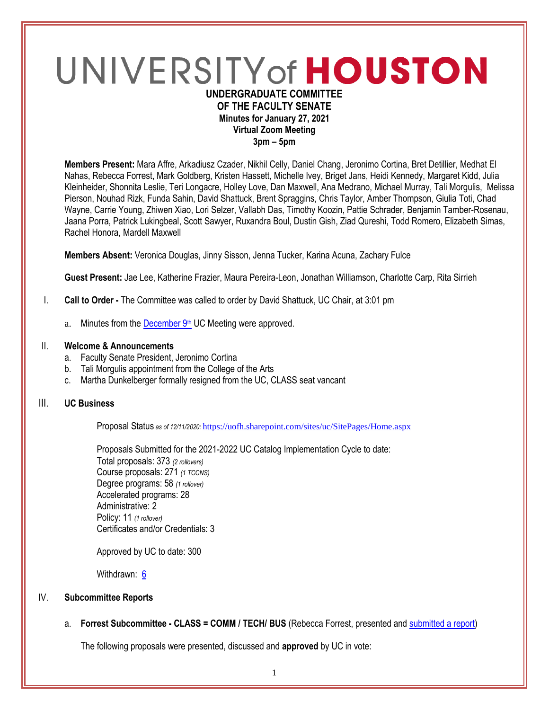# UNIVERSITY of HOUSTON **UNDERGRADUATE COMMITTEE**

# **OF THE FACULTY SENATE Minutes for January 27, 2021 Virtual Zoom Meeting 3pm – 5pm**

**Members Present:** Mara Affre, Arkadiusz Czader, Nikhil Celly, Daniel Chang, Jeronimo Cortina, Bret Detillier, Medhat El Nahas, Rebecca Forrest, Mark Goldberg, Kristen Hassett, Michelle Ivey, Briget Jans, Heidi Kennedy, Margaret Kidd, Julia Kleinheider, Shonnita Leslie, Teri Longacre, Holley Love, Dan Maxwell, Ana Medrano, Michael Murray, Tali Morgulis, Melissa Pierson, Nouhad Rizk, Funda Sahin, David Shattuck, Brent Spraggins, Chris Taylor, Amber Thompson, Giulia Toti, Chad Wayne, Carrie Young, Zhiwen Xiao, Lori Selzer, Vallabh Das, Timothy Koozin, Pattie Schrader, Benjamin Tamber-Rosenau, Jaana Porra, Patrick Lukingbeal, Scott Sawyer, Ruxandra Boul, Dustin Gish, Ziad Qureshi, Todd Romero, Elizabeth Simas, Rachel Honora, Mardell Maxwell

**Members Absent:** Veronica Douglas, Jinny Sisson, Jenna Tucker, Karina Acuna, Zachary Fulce

**Guest Present:** Jae Lee, Katherine Frazier, Maura Pereira-Leon, Jonathan Williamson, Charlotte Carp, Rita Sirrieh

- I. **Call to Order -** The Committee was called to order by David Shattuck, UC Chair, at 3:01 pm
	- a. Minutes from the [December 9](https://uh.edu/undergraduate-committee/meetings/agendas-minutes/ay-2021/m_2020_12091.pdf)th UC Meeting were approved.

# II. **Welcome & Announcements**

- a. Faculty Senate President, Jeronimo Cortina
- b. Tali Morgulis appointment from the College of the Arts
- c. Martha Dunkelberger formally resigned from the UC, CLASS seat vancant

# III. **UC Business**

Proposal Status *as of 12/11/2020:* <https://uofh.sharepoint.com/sites/uc/SitePages/Home.aspx>

Proposals Submitted for the 2021-2022 UC Catalog Implementation Cycle to date: Total proposals: 373 *(2 rollovers)* Course proposals: 271 *(1 TCCNS)* Degree programs: 58 *(1 rollover)* Accelerated programs: 28 Administrative: 2 Policy: 11 *(1 rollover)* Certificates and/or Credentials: 3

Approved by UC to date: 300

Withdrawn: [6](https://uofh.sharepoint.com/sites/uc/Lists/ProposalSubmissionAndTracking/Submitted%20Proposals%20%20Current%20Year%20%20Grouped.aspx?FilterField1=Proposal%5Fx0020%5FStatus&FilterValue1=Withdrawn%20%2D%20See%20Proposal%20Notes&FilterType1=Choice&viewid=3e8f7d7c%2Dd8a4%2D43cd%2D8f0e%2D60cc2ac81fe6)

# IV. **Subcommittee Reports**

a. **Forrest Subcommittee - CLASS = COMM / TECH/ BUS** (Rebecca Forrest, presented an[d submitted a report\)](https://uofh.sharepoint.com/:w:/s/uc/admin/ER6sRe2zzBxEvHF6FngxRJwBBcONAtJBhAFLMm6eNf4dJQ?e=FyFMz0)

The following proposals were presented, discussed and **approved** by UC in vote: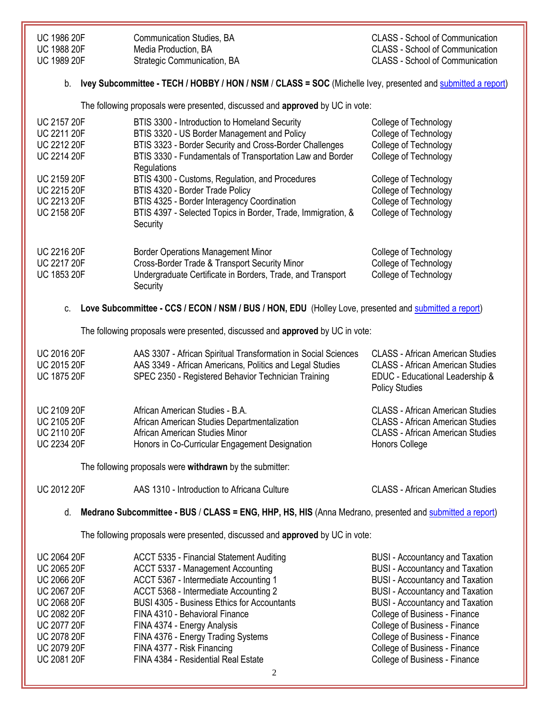| <b>UC 1986 20F</b> | Communication Studies, BA   | CLASS - School of Communication        |
|--------------------|-----------------------------|----------------------------------------|
| <b>UC 1988 20F</b> | Media Production, BA        | <b>CLASS - School of Communication</b> |
| <b>UC 1989 20F</b> | Strategic Communication, BA | CLASS - School of Communication        |

#### b. **Ivey Subcommittee - TECH / HOBBY / HON / NSM** / **CLASS = SOC** (Michelle Ivey, presented and [submitted a report\)](https://uofh.sharepoint.com/:w:/s/uc/admin/EZkhw65oH6NCnr5uPqjcbOgBj4uIVKKidbYe8D2H8cZnow?e=udj2nW)

The following proposals were presented, discussed and **approved** by UC in vote:

| <b>UC 2157 20F</b> | BTIS 3300 - Introduction to Homeland Security                | College of Technology |
|--------------------|--------------------------------------------------------------|-----------------------|
| <b>UC 2211 20F</b> | BTIS 3320 - US Border Management and Policy                  | College of Technology |
| <b>UC 2212 20F</b> | BTIS 3323 - Border Security and Cross-Border Challenges      | College of Technology |
| <b>UC 2214 20F</b> | BTIS 3330 - Fundamentals of Transportation Law and Border    | College of Technology |
|                    | Regulations                                                  |                       |
| <b>UC 2159 20F</b> | BTIS 4300 - Customs, Regulation, and Procedures              | College of Technology |
| <b>UC 2215 20F</b> | BTIS 4320 - Border Trade Policy                              | College of Technology |
| <b>UC 2213 20F</b> | BTIS 4325 - Border Interagency Coordination                  | College of Technology |
| <b>UC 2158 20F</b> | BTIS 4397 - Selected Topics in Border, Trade, Immigration, & | College of Technology |
|                    | Security                                                     |                       |
|                    |                                                              |                       |
| <b>UC 2216 20F</b> | <b>Border Operations Management Minor</b>                    | College of Technology |
| <b>UC 2217 20F</b> | Cross-Border Trade & Transport Security Minor                | College of Technology |
| <b>UC 1853 20F</b> | Undergraduate Certificate in Borders, Trade, and Transport   | College of Technology |
|                    | Security                                                     |                       |
|                    |                                                              |                       |

c. **Love Subcommittee - CCS / ECON / NSM / BUS / HON, EDU** (Holley Love, presented an[d submitted a report\)](https://uofh.sharepoint.com/:w:/s/uc/admin/EdG-uUhzbuBNt3omL1dgo_YBSUA8CKqP5pUrG9IbdYcZ1Q?e=qOQU87)

The following proposals were presented, discussed and **approved** by UC in vote:

| <b>UC 2016 20F</b><br><b>UC 2015 20F</b> | AAS 3307 - African Spiritual Transformation in Social Sciences<br>AAS 3349 - African Americans, Politics and Legal Studies | <b>CLASS - African American Studies</b><br><b>CLASS - African American Studies</b> |
|------------------------------------------|----------------------------------------------------------------------------------------------------------------------------|------------------------------------------------------------------------------------|
| <b>UC 1875 20F</b>                       | SPEC 2350 - Registered Behavior Technician Training                                                                        | EDUC - Educational Leadership &<br><b>Policy Studies</b>                           |
| <b>UC 2109 20F</b>                       | African American Studies - B.A.                                                                                            | <b>CLASS</b> - African American Studies                                            |
| <b>UC 2105 20F</b>                       | African American Studies Departmentalization                                                                               | <b>CLASS - African American Studies</b>                                            |
| <b>UC 2110 20F</b>                       | African American Studies Minor                                                                                             | <b>CLASS - African American Studies</b>                                            |
| <b>UC 2234 20F</b>                       | Honors in Co-Curricular Engagement Designation                                                                             | Honors College                                                                     |
|                                          | The following proposals were withdrawn by the submitter:                                                                   |                                                                                    |
| <b>UC 2012 20F</b>                       | AAS 1310 - Introduction to Africana Culture                                                                                | <b>CLASS - African American Studies</b>                                            |

d. **Medrano Subcommittee - BUS** / **CLASS = ENG, HHP, HS, HIS** (Anna Medrano, presented an[d submitted a report\)](https://uofh.sharepoint.com/:w:/s/uc/admin/EW0itUZkfR9CoVbC3-sUSfIBhNF3hm6hdBsXPl--bAgWvA?e=mU2PFy)

The following proposals were presented, discussed and **approved** by UC in vote:

| <b>UC 2064 20F</b> | ACCT 5335 - Financial Statement Auditing           | <b>BUSI</b> - Accountancy and Taxation |
|--------------------|----------------------------------------------------|----------------------------------------|
| <b>UC 2065 20F</b> | ACCT 5337 - Management Accounting                  | <b>BUSI</b> - Accountancy and Taxation |
| <b>UC 2066 20F</b> | ACCT 5367 - Intermediate Accounting 1              | <b>BUSI</b> - Accountancy and Taxation |
| <b>UC 2067 20F</b> | ACCT 5368 - Intermediate Accounting 2              | <b>BUSI</b> - Accountancy and Taxation |
| <b>UC 2068 20F</b> | <b>BUSI 4305 - Business Ethics for Accountants</b> | <b>BUSI</b> - Accountancy and Taxation |
| <b>UC 2082 20F</b> | FINA 4310 - Behavioral Finance                     | College of Business - Finance          |
| <b>UC 2077 20F</b> | FINA 4374 - Energy Analysis                        | College of Business - Finance          |
| <b>UC 2078 20F</b> | FINA 4376 - Energy Trading Systems                 | College of Business - Finance          |
| <b>UC 2079 20F</b> | FINA 4377 - Risk Financing                         | College of Business - Finance          |
| <b>UC 2081 20F</b> | FINA 4384 - Residential Real Estate                | College of Business - Finance          |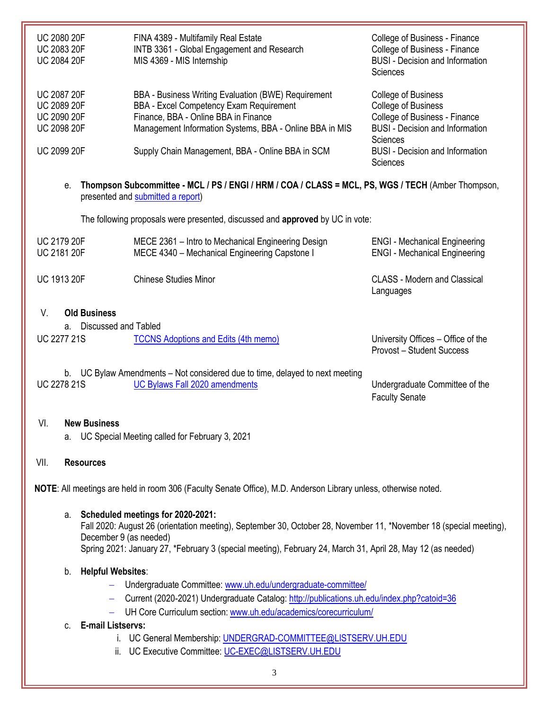| <b>UC 2080 20F</b><br><b>UC 2083 20F</b><br><b>UC 2084 20F</b>                       | FINA 4389 - Multifamily Real Estate<br>INTB 3361 - Global Engagement and Research<br>MIS 4369 - MIS Internship                                                                                    | College of Business - Finance<br>College of Business - Finance<br><b>BUSI</b> - Decision and Information<br><b>Sciences</b>                     |
|--------------------------------------------------------------------------------------|---------------------------------------------------------------------------------------------------------------------------------------------------------------------------------------------------|-------------------------------------------------------------------------------------------------------------------------------------------------|
| <b>UC 2087 20F</b><br><b>UC 2089 20F</b><br><b>UC 2090 20F</b><br><b>UC 2098 20F</b> | BBA - Business Writing Evaluation (BWE) Requirement<br>BBA - Excel Competency Exam Requirement<br>Finance, BBA - Online BBA in Finance<br>Management Information Systems, BBA - Online BBA in MIS | College of Business<br><b>College of Business</b><br>College of Business - Finance<br><b>BUSI</b> - Decision and Information<br><b>Sciences</b> |
| <b>UC 2099 20F</b>                                                                   | Supply Chain Management, BBA - Online BBA in SCM                                                                                                                                                  | <b>BUSI</b> - Decision and Information<br><b>Sciences</b>                                                                                       |

e. **Thompson Subcommittee - MCL / PS / ENGI / HRM / COA / CLASS = MCL, PS, WGS / TECH** (Amber Thompson, presented and [submitted a report\)](https://uofh.sharepoint.com/:w:/s/uc/admin/ERG6Zg_6WEtBintkUamdcH8BuJiwQF_Dw358O1IzVJ7uqg?e=WzBzEg)

The following proposals were presented, discussed and **approved** by UC in vote:

| <b>UC 2179 20F</b> | MECE 2361 – Intro to Mechanical Engineering Design | <b>ENGI</b> - Mechanical Engineering             |
|--------------------|----------------------------------------------------|--------------------------------------------------|
| <b>UC 2181 20F</b> | MECE 4340 - Mechanical Engineering Capstone I      | <b>ENGI</b> - Mechanical Engineering             |
| <b>UC 1913 20F</b> | <b>Chinese Studies Minor</b>                       | <b>CLASS - Modern and Classical</b><br>Languages |

# V. **Old Business**

a. Discussed and Tabled

| <b>UC 2277 21S</b><br><b>TCCNS Adoptions and Edits (4th memo)</b> |
|-------------------------------------------------------------------|
|-------------------------------------------------------------------|

University Offices – Office of the Provost – Student Success

b. UC Bylaw Amendments – Not considered due to time, delayed to next meeting UC 2278 21S [UC Bylaws Fall 2020 amendments](https://uofh.sharepoint.com/:li:/s/uc/E59p8O7QoOpEij9znxz3LJUBo41qRhLtdx4TgRbfflOWZQ?e=2R1vOe) Undergraduate Committee of the

Faculty Senate

# VI. **New Business**

a. UC Special Meeting called for February 3, 2021

# VII. **Resources**

**NOTE**: All meetings are held in room 306 (Faculty Senate Office), M.D. Anderson Library unless, otherwise noted.

#### a. **Scheduled meetings for 2020-2021:**

Fall 2020: August 26 (orientation meeting), September 30, October 28, November 11, \*November 18 (special meeting), December 9 (as needed) Spring 2021: January 27, \*February 3 (special meeting), February 24, March 31, April 28, May 12 (as needed)

# b. **Helpful Websites**:

- Undergraduate Committee: [www.uh.edu/undergraduate-committee/](http://www.uh.edu/undergraduate-committee/)
- Current (2020-2021) Undergraduate Catalog: <http://publications.uh.edu/index.php?catoid=36>
- UH Core Curriculum section: [www.uh.edu/academics/corecurriculum/](http://www.uh.edu/academics/corecurriculum/)

# c. **E-mail Listservs:**

- i. UC General Membership: [UNDERGRAD-COMMITTEE@LISTSERV.UH.EDU](mailto:UNDERGRAD-COMMITTEE@LISTSERV.UH.EDU)
- ii. UC Executive Committee: [UC-EXEC@LISTSERV.UH.EDU](mailto:UC-EXEC@LISTSERV.UH.EDU)